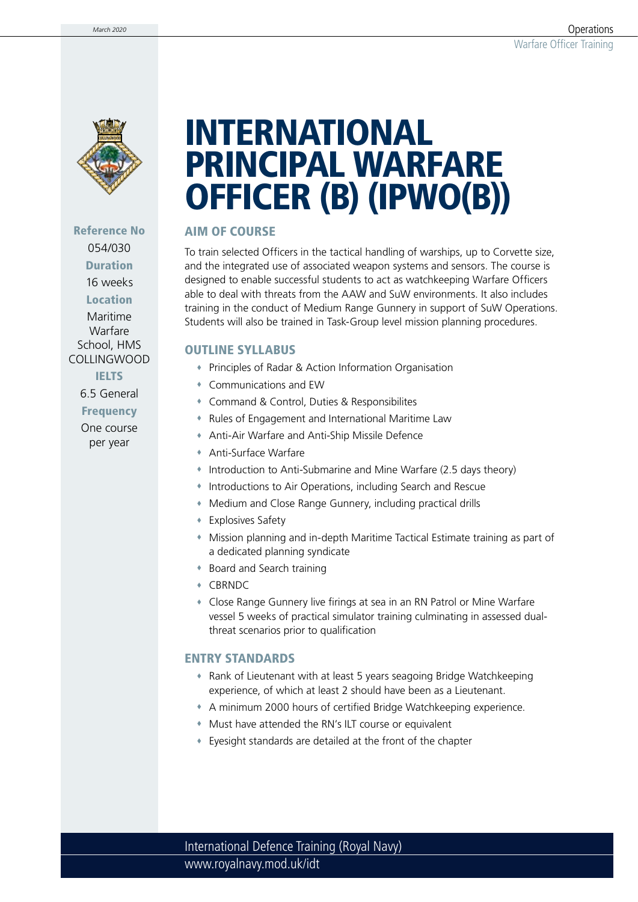

### Reference No 054/030 Duration 16 weeks **Location**

Maritime Warfare School, HMS COLLINGWOOD

IELTS

6.5 General

**Frequency** 

One course per year

# INTERNATIONAL PRINCIPAL WARFARE OFFICER (B) (IPWO(B))

#### AIM OF COURSE

To train selected Officers in the tactical handling of warships, up to Corvette size, and the integrated use of associated weapon systems and sensors. The course is designed to enable successful students to act as watchkeeping Warfare Officers able to deal with threats from the AAW and SuW environments. It also includes training in the conduct of Medium Range Gunnery in support of SuW Operations. Students will also be trained in Task-Group level mission planning procedures.

#### OUTLINE SYLLABUS

- Principles of Radar & Action Information Organisation
- Communications and EW
- Command & Control, Duties & Responsibilites
- Rules of Engagement and International Maritime Law
- Anti-Air Warfare and Anti-Ship Missile Defence
- Anti-Surface Warfare
- Introduction to Anti-Submarine and Mine Warfare (2.5 days theory)
- Introductions to Air Operations, including Search and Rescue
- Medium and Close Range Gunnery, including practical drills
- Explosives Safety
- Mission planning and in-depth Maritime Tactical Estimate training as part of a dedicated planning syndicate
- Board and Search training
- CBRNDC
- Close Range Gunnery live firings at sea in an RN Patrol or Mine Warfare vessel 5 weeks of practical simulator training culminating in assessed dualthreat scenarios prior to qualification

#### ENTRY STANDARDS

- Rank of Lieutenant with at least 5 years seagoing Bridge Watchkeeping experience, of which at least 2 should have been as a Lieutenant.
- A minimum 2000 hours of certified Bridge Watchkeeping experience.
- Must have attended the RN's ILT course or equivalent
- Eyesight standards are detailed at the front of the chapter